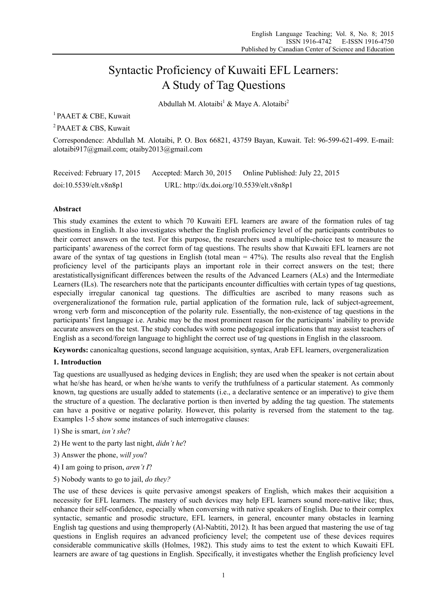# Syntactic Proficiency of Kuwaiti EFL Learners: A Study of Tag Questions

Abdullah M. Alotaibi<sup>1</sup> & Maye A. Alotaibi<sup>2</sup>

<sup>1</sup> PAAET & CBE, Kuwait

2 PAAET & CBS, Kuwait

Correspondence: Abdullah M. Alotaibi, P. O. Box 66821, 43759 Bayan, Kuwait. Tel: 96-599-621-499. E-mail: alotaibi917@gmail.com; otaiby2013@gmail.com

| Received: February 17, 2015 | Accepted: March 30, 2015                  | Online Published: July 22, 2015 |
|-----------------------------|-------------------------------------------|---------------------------------|
| doi:10.5539/elt.v8n8p1      | URL: http://dx.doi.org/10.5539/elt.v8n8p1 |                                 |

## **Abstract**

This study examines the extent to which 70 Kuwaiti EFL learners are aware of the formation rules of tag questions in English. It also investigates whether the English proficiency level of the participants contributes to their correct answers on the test. For this purpose, the researchers used a multiple-choice test to measure the participants' awareness of the correct form of tag questions. The results show that Kuwaiti EFL learners are not aware of the syntax of tag questions in English (total mean  $= 47\%$ ). The results also reveal that the English proficiency level of the participants plays an important role in their correct answers on the test; there arestatisticallysignificant differences between the results of the Advanced Learners (ALs) and the Intermediate Learners (ILs). The researchers note that the participants encounter difficulties with certain types of tag questions, especially irregular canonical tag questions. The difficulties are ascribed to many reasons such as overgeneralizationof the formation rule, partial application of the formation rule, lack of subject-agreement, wrong verb form and misconception of the polarity rule. Essentially, the non-existence of tag questions in the participants' first language i.e. Arabic may be the most prominent reason for the participants' inability to provide accurate answers on the test. The study concludes with some pedagogical implications that may assist teachers of English as a second/foreign language to highlight the correct use of tag questions in English in the classroom.

**Keywords:** canonicaltag questions, second language acquisition, syntax, Arab EFL learners, overgeneralization

## **1. Introduction**

Tag questions are usuallyused as hedging devices in English; they are used when the speaker is not certain about what he/she has heard, or when he/she wants to verify the truthfulness of a particular statement. As commonly known, tag questions are usually added to statements (i.e., a declarative sentence or an imperative) to give them the structure of a question. The declarative portion is then inverted by adding the tag question. The statements can have a positive or negative polarity. However, this polarity is reversed from the statement to the tag. Examples 1-5 show some instances of such interrogative clauses:

- 1) She is smart, *isn't she*?
- 2) He went to the party last night, *didn't he*?
- 3) Answer the phone, *will you*?
- 4) I am going to prison, *aren't I*?
- 5) Nobody wants to go to jail, *do they?*

The use of these devices is quite pervasive amongst speakers of English, which makes their acquisition a necessity for EFL learners. The mastery of such devices may help EFL learners sound more-native like; thus, enhance their self-confidence, especially when conversing with native speakers of English. Due to their complex syntactic, semantic and prosodic structure, EFL learners, in general, encounter many obstacles in learning English tag questions and using themproperly (Al-Nabtiti, 2012). It has been argued that mastering the use of tag questions in English requires an advanced proficiency level; the competent use of these devices requires considerable communicative skills (Holmes, 1982). This study aims to test the extent to which Kuwaiti EFL learners are aware of tag questions in English. Specifically, it investigates whether the English proficiency level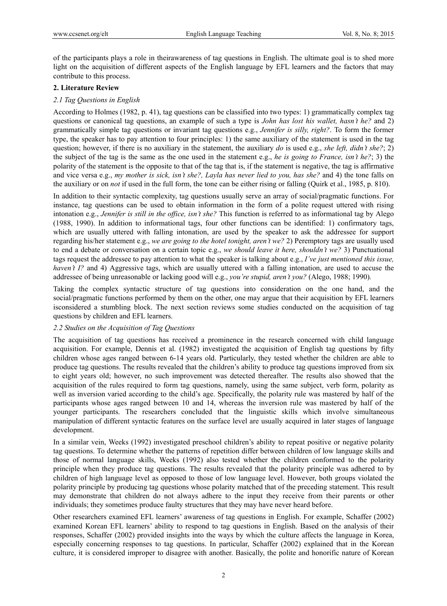of the participants plays a role in theirawareness of tag questions in English. The ultimate goal is to shed more light on the acquisition of different aspects of the English language by EFL learners and the factors that may contribute to this process.

#### **2. Literature Review**

#### *2.1 Tag Questions in English*

According to Holmes (1982, p. 41), tag questions can be classified into two types: 1) grammatically complex tag questions or canonical tag questions, an example of such a type is *John has lost his wallet, hasn't he?* and 2) grammatically simple tag questions or invariant tag questions e.g., *Jennifer is silly, right?*. To form the former type, the speaker has to pay attention to four principles: 1) the same auxiliary of the statement is used in the tag question; however, if there is no auxiliary in the statement, the auxiliary *do* is used e.g., *she left, didn't she?*; 2) the subject of the tag is the same as the one used in the statement e.g., *he is going to France, isn't he?*; 3) the polarity of the statement is the opposite to that of the tag that is, if the statement is negative, the tag is affirmative and vice versa e.g., *my mother is sick, isn't she?, Layla has never lied to you, has she?* and 4) the tone falls on the auxiliary or on *not* if used in the full form, the tone can be either rising or falling (Quirk et al., 1985, p. 810).

In addition to their syntactic complexity, tag questions usually serve an array of social/pragmatic functions. For instance, tag questions can be used to obtain information in the form of a polite request uttered with rising intonation e.g., *Jennifer is still in the office, isn't she?* This function is referred to as informational tag by Alego (1988, 1990). In addition to informational tags, four other functions can be identified: 1) confirmatory tags, which are usually uttered with falling intonation, are used by the speaker to ask the addressee for support regarding his/her statement e.g., *we are going to the hotel tonight, aren't we?* 2) Peremptory tags are usually used to end a debate or conversation on a certain topic e.g., *we should leave it here, shouldn't we?* 3) Punctuational tags request the addressee to pay attention to what the speaker is talking about e.g., *I've just mentioned this issue, haven't I?* and 4) Aggressive tags, which are usually uttered with a falling intonation, are used to accuse the addressee of being unreasonable or lacking good will e.g., *you're stupid, aren't you?* (Alego, 1988; 1990)*.* 

Taking the complex syntactic structure of tag questions into consideration on the one hand, and the social/pragmatic functions performed by them on the other, one may argue that their acquisition by EFL learners isconsidered a stumbling block. The next section reviews some studies conducted on the acquisition of tag questions by children and EFL learners.

#### *2.2 Studies on the Acquisition of Tag Questions*

The acquisition of tag questions has received a prominence in the research concerned with child language acquisition. For example, Dennis et al. (1982) investigated the acquisition of English tag questions by fifty children whose ages ranged between 6-14 years old. Particularly, they tested whether the children are able to produce tag questions. The results revealed that the children's ability to produce tag questions improved from six to eight years old; however, no such improvement was detected thereafter. The results also showed that the acquisition of the rules required to form tag questions, namely, using the same subject, verb form, polarity as well as inversion varied according to the child's age. Specifically, the polarity rule was mastered by half of the participants whose ages ranged between 10 and 14, whereas the inversion rule was mastered by half of the younger participants. The researchers concluded that the linguistic skills which involve simultaneous manipulation of different syntactic features on the surface level are usually acquired in later stages of language development.

In a similar vein, Weeks (1992) investigated preschool children's ability to repeat positive or negative polarity tag questions. To determine whether the patterns of repetition differ between children of low language skills and those of normal language skills, Weeks (1992) also tested whether the children conformed to the polarity principle when they produce tag questions. The results revealed that the polarity principle was adhered to by children of high language level as opposed to those of low language level. However, both groups violated the polarity principle by producing tag questions whose polarity matched that of the preceding statement. This result may demonstrate that children do not always adhere to the input they receive from their parents or other individuals; they sometimes produce faulty structures that they may have never heard before.

Other researchers examined EFL learners' awareness of tag questions in English. For example, Schaffer (2002) examined Korean EFL learners' ability to respond to tag questions in English. Based on the analysis of their responses, Schaffer (2002) provided insights into the ways by which the culture affects the language in Korea, especially concerning responses to tag questions. In particular, Schaffer (2002) explained that in the Korean culture, it is considered improper to disagree with another. Basically, the polite and honorific nature of Korean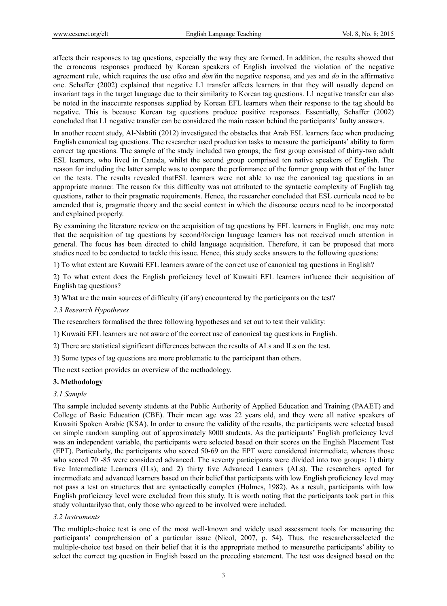affects their responses to tag questions, especially the way they are formed. In addition, the results showed that the erroneous responses produced by Korean speakers of English involved the violation of the negative agreement rule, which requires the use of*no* and *don't*in the negative response, and *yes* and *do* in the affirmative one. Schaffer (2002) explained that negative L1 transfer affects learners in that they will usually depend on invariant tags in the target language due to their similarity to Korean tag questions. L1 negative transfer can also be noted in the inaccurate responses supplied by Korean EFL learners when their response to the tag should be negative. This is because Korean tag questions produce positive responses. Essentially, Schaffer (2002) concluded that L1 negative transfer can be considered the main reason behind the participants' faulty answers.

In another recent study, Al-Nabtiti (2012) investigated the obstacles that Arab ESL learners face when producing English canonical tag questions. The researcher used production tasks to measure the participants' ability to form correct tag questions. The sample of the study included two groups; the first group consisted of thirty-two adult ESL learners, who lived in Canada, whilst the second group comprised ten native speakers of English. The reason for including the latter sample was to compare the performance of the former group with that of the latter on the tests. The results revealed thatESL learners were not able to use the canonical tag questions in an appropriate manner. The reason for this difficulty was not attributed to the syntactic complexity of English tag questions, rather to their pragmatic requirements. Hence, the researcher concluded that ESL curricula need to be amended that is, pragmatic theory and the social context in which the discourse occurs need to be incorporated and explained properly.

By examining the literature review on the acquisition of tag questions by EFL learners in English, one may note that the acquisition of tag questions by second/foreign language learners has not received much attention in general. The focus has been directed to child language acquisition. Therefore, it can be proposed that more studies need to be conducted to tackle this issue. Hence, this study seeks answers to the following questions:

1) To what extent are Kuwaiti EFL learners aware of the correct use of canonical tag questions in English?

2) To what extent does the English proficiency level of Kuwaiti EFL learners influence their acquisition of English tag questions?

3) What are the main sources of difficulty (if any) encountered by the participants on the test?

#### *2.3 Research Hypotheses*

The researchers formalised the three following hypotheses and set out to test their validity:

1) Kuwaiti EFL learners are not aware of the correct use of canonical tag questions in English.

2) There are statistical significant differences between the results of ALs and ILs on the test.

3) Some types of tag questions are more problematic to the participant than others.

The next section provides an overview of the methodology.

#### **3. Methodology**

#### *3.1 Sample*

The sample included seventy students at the Public Authority of Applied Education and Training (PAAET) and College of Basic Education (CBE). Their mean age was 22 years old, and they were all native speakers of Kuwaiti Spoken Arabic (KSA). In order to ensure the validity of the results, the participants were selected based on simple random sampling out of approximately 8000 students. As the participants' English proficiency level was an independent variable, the participants were selected based on their scores on the English Placement Test (EPT). Particularly, the participants who scored 50-69 on the EPT were considered intermediate, whereas those who scored 70 -85 were considered advanced. The seventy participants were divided into two groups: 1) thirty five Intermediate Learners (ILs); and 2) thirty five Advanced Learners (ALs). The researchers opted for intermediate and advanced learners based on their belief that participants with low English proficiency level may not pass a test on structures that are syntactically complex (Holmes, 1982). As a result, participants with low English proficiency level were excluded from this study. It is worth noting that the participants took part in this study voluntarilyso that, only those who agreed to be involved were included.

#### *3.2 Instruments*

The multiple-choice test is one of the most well-known and widely used assessment tools for measuring the participants' comprehension of a particular issue (Nicol, 2007, p. 54). Thus, the researchersselected the multiple-choice test based on their belief that it is the appropriate method to measurethe participants' ability to select the correct tag question in English based on the preceding statement. The test was designed based on the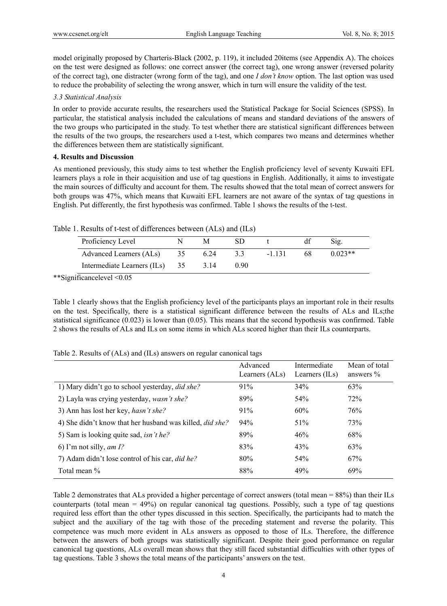model originally proposed by Charteris-Black (2002, p. 119), it included 20items (see Appendix A). The choices on the test were designed as follows: one correct answer (the correct tag), one wrong answer (reversed polarity of the correct tag), one distracter (wrong form of the tag), and one *I don't know* option. The last option was used to reduce the probability of selecting the wrong answer, which in turn will ensure the validity of the test.

#### *3.3 Statistical Analysis*

In order to provide accurate results, the researchers used the Statistical Package for Social Sciences (SPSS). In particular, the statistical analysis included the calculations of means and standard deviations of the answers of the two groups who participated in the study. To test whether there are statistical significant differences between the results of the two groups, the researchers used a t-test, which compares two means and determines whether the differences between them are statistically significant.

#### **4. Results and Discussion**

As mentioned previously, this study aims to test whether the English proficiency level of seventy Kuwaiti EFL learners plays a role in their acquisition and use of tag questions in English. Additionally, it aims to investigate the main sources of difficulty and account for them. The results showed that the total mean of correct answers for both groups was 47%, which means that Kuwaiti EFL learners are not aware of the syntax of tag questions in English. Put differently, the first hypothesis was confirmed. Table 1 shows the results of the t-test.

|  |  |  | Table 1. Results of t-test of differences between (ALs) and (ILs) |  |  |  |  |
|--|--|--|-------------------------------------------------------------------|--|--|--|--|
|--|--|--|-------------------------------------------------------------------|--|--|--|--|

| Proficiency Level              |    | M    | SD   |          |    | Sig.      |
|--------------------------------|----|------|------|----------|----|-----------|
| Advanced Learners (ALs)        | 35 | 6.24 |      | $-1$ 131 | 68 | $0.023**$ |
| Intermediate Learners (ILs) 35 |    | 3 14 | 0.90 |          |    |           |

\*\*Significancelevel <0.05

Table 1 clearly shows that the English proficiency level of the participants plays an important role in their results on the test. Specifically, there is a statistical significant difference between the results of ALs and ILs;the statistical significance (0.023) is lower than (0.05). This means that the second hypothesis was confirmed. Table 2 shows the results of ALs and ILs on some items in which ALs scored higher than their ILs counterparts.

Table 2. Results of (ALs) and (ILs) answers on regular canonical tags

|                                                                 | Advanced<br>Learners (ALs) | Intermediate<br>Learners (ILs) | Mean of total<br>answers $\%$ |
|-----------------------------------------------------------------|----------------------------|--------------------------------|-------------------------------|
| 1) Mary didn't go to school yesterday, <i>did she?</i>          | 91%                        | 34%                            | 63%                           |
| 2) Layla was crying yesterday, wasn't she?                      | 89%                        | 54%                            | 72%                           |
| 3) Ann has lost her key, <i>hasn't she?</i>                     | 91%                        | 60%                            | 76%                           |
| 4) She didn't know that her husband was killed, <i>did she?</i> | 94%                        | 51%                            | 73%                           |
| 5) Sam is looking quite sad, <i>isn't he?</i>                   | 89%                        | 46%                            | 68%                           |
| 6) I'm not silly, <i>am 1</i> ?                                 | 83%                        | 43%                            | 63%                           |
| 7) Adam didn't lose control of his car, <i>did he?</i>          | 80%                        | 54%                            | 67%                           |
| Total mean %                                                    | 88%                        | 49%                            | 69%                           |

Table 2 demonstrates that ALs provided a higher percentage of correct answers (total mean = 88%) than their ILs counterparts (total mean  $= 49\%$ ) on regular canonical tag questions. Possibly, such a type of tag questions required less effort than the other types discussed in this section. Specifically, the participants had to match the subject and the auxiliary of the tag with those of the preceding statement and reverse the polarity. This competence was much more evident in ALs answers as opposed to those of ILs. Therefore, the difference between the answers of both groups was statistically significant. Despite their good performance on regular canonical tag questions, ALs overall mean shows that they still faced substantial difficulties with other types of tag questions. Table 3 shows the total means of the participants' answers on the test.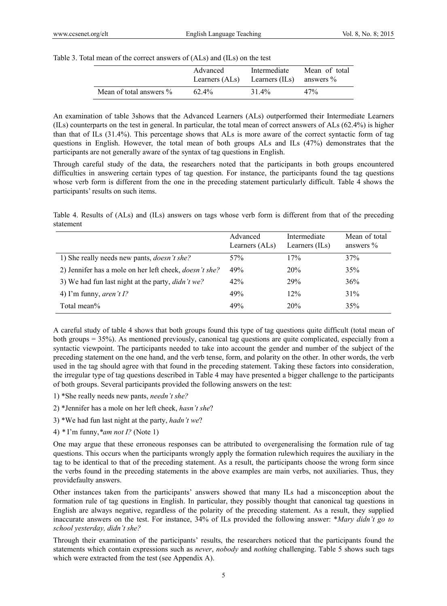#### Table 3. Total mean of the correct answers of (ALs) and (ILs) on the test

|                         | Advanced       | Intermediate   | Mean of total |
|-------------------------|----------------|----------------|---------------|
|                         | Learners (ALs) | Learners (ILs) | answers $\%$  |
| Mean of total answers % | $62.4\%$       | 31.4%          | 47%           |

An examination of table 3shows that the Advanced Learners (ALs) outperformed their Intermediate Learners (ILs) counterparts on the test in general. In particular, the total mean of correct answers of ALs (62.4%) is higher than that of ILs (31.4%). This percentage shows that ALs is more aware of the correct syntactic form of tag questions in English. However, the total mean of both groups ALs and ILs (47%) demonstrates that the participants are not generally aware of the syntax of tag questions in English.

Through careful study of the data, the researchers noted that the participants in both groups encountered difficulties in answering certain types of tag question. For instance, the participants found the tag questions whose verb form is different from the one in the preceding statement particularly difficult. Table 4 shows the participants' results on such items.

Table 4. Results of (ALs) and (ILs) answers on tags whose verb form is different from that of the preceding statement

|                                                               | Advanced<br>Learners (ALs) | Intermediate<br>Learners $(ILs)$ | Mean of total<br>answers $\%$ |
|---------------------------------------------------------------|----------------------------|----------------------------------|-------------------------------|
| 1) She really needs new pants, <i>doesn't she?</i>            | 57%                        | 17%                              | 37%                           |
| 2) Jennifer has a mole on her left cheek, <i>doesn't she?</i> | 49%                        | 20%                              | 35%                           |
| 3) We had fun last night at the party, <i>didn't we?</i>      | 42%                        | 29%                              | 36%                           |
| 4) I'm funny, <i>aren't I?</i>                                | 49%                        | 12%                              | 31%                           |
| Total mean%                                                   | 49%                        | 20%                              | 35%                           |

A careful study of table 4 shows that both groups found this type of tag questions quite difficult (total mean of both groups = 35%). As mentioned previously, canonical tag questions are quite complicated, especially from a syntactic viewpoint. The participants needed to take into account the gender and number of the subject of the preceding statement on the one hand, and the verb tense, form, and polarity on the other. In other words, the verb used in the tag should agree with that found in the preceding statement. Taking these factors into consideration, the irregular type of tag questions described in Table 4 may have presented a bigger challenge to the participants of both groups. Several participants provided the following answers on the test:

- 1) \*She really needs new pants, *needn't she?*
- 2) \*Jennifer has a mole on her left cheek, *hasn't she*?
- 3) \*We had fun last night at the party, *hadn't we*?
- 4) *\** I'm funny,*\*am not I?* (Note 1)

One may argue that these erroneous responses can be attributed to overgeneralising the formation rule of tag questions. This occurs when the participants wrongly apply the formation rulewhich requires the auxiliary in the tag to be identical to that of the preceding statement. As a result, the participants choose the wrong form since the verbs found in the preceding statements in the above examples are main verbs, not auxiliaries. Thus, they providefaulty answers.

Other instances taken from the participants' answers showed that many ILs had a misconception about the formation rule of tag questions in English. In particular, they possibly thought that canonical tag questions in English are always negative, regardless of the polarity of the preceding statement. As a result, they supplied inaccurate answers on the test. For instance, 34% of ILs provided the following answer: \**Mary didn't go to school yesterday, didn't she?* 

Through their examination of the participants' results, the researchers noticed that the participants found the statements which contain expressions such as *never*, *nobody* and *nothing* challenging. Table 5 shows such tags which were extracted from the test (see Appendix A).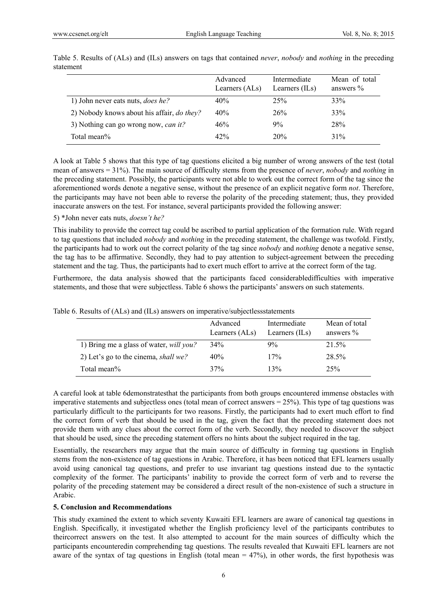|                                                   | Advanced<br>Learners (ALs) | Intermediate<br>Learners $(ILs)$ | Mean of total<br>answers $\%$ |
|---------------------------------------------------|----------------------------|----------------------------------|-------------------------------|
| 1) John never eats nuts, <i>does he?</i>          | 40%                        | 25%                              | 33%                           |
| 2) Nobody knows about his affair, <i>do they?</i> | 40%                        | 26%                              | 33%                           |
| 3) Nothing can go wrong now, <i>can it</i> ?      | 46%                        | 9%                               | 28%                           |
| Total mean%                                       | 42%                        | 20%                              | 31%                           |

Table 5. Results of (ALs) and (ILs) answers on tags that contained *never*, *nobody* and *nothing* in the preceding statement

A look at Table 5 shows that this type of tag questions elicited a big number of wrong answers of the test (total mean of answers = 31%). The main source of difficulty stems from the presence of *never*, *nobody* and *nothing* in the preceding statement. Possibly, the participants were not able to work out the correct form of the tag since the aforementioned words denote a negative sense, without the presence of an explicit negative form *not*. Therefore, the participants may have not been able to reverse the polarity of the preceding statement; thus, they provided inaccurate answers on the test. For instance, several participants provided the following answer:

#### 5) \*John never eats nuts, *doesn't he?*

This inability to provide the correct tag could be ascribed to partial application of the formation rule. With regard to tag questions that included *nobody* and *nothing* in the preceding statement, the challenge was twofold. Firstly, the participants had to work out the correct polarity of the tag since *nobody* and *nothing* denote a negative sense, the tag has to be affirmative. Secondly, they had to pay attention to subject-agreement between the preceding statement and the tag. Thus, the participants had to exert much effort to arrive at the correct form of the tag.

Furthermore, the data analysis showed that the participants faced considerabledifficulties with imperative statements, and those that were subjectless. Table 6 shows the participants' answers on such statements.

|                                             | Advanced<br>Learners (ALs) | Intermediate<br>Learners (ILs) | Mean of total<br>answers $\%$ |
|---------------------------------------------|----------------------------|--------------------------------|-------------------------------|
| 1) Bring me a glass of water, will you?     | 34%                        | 9%                             | 21.5%                         |
| 2) Let's go to the cinema, <i>shall we?</i> | 40%                        | 17%                            | 28.5%                         |
| Total mean%                                 | 37%                        | 13%                            | 25%                           |

Table 6. Results of (ALs) and (ILs) answers on imperative/subjectlessstatements

A careful look at table 6demonstratesthat the participants from both groups encountered immense obstacles with imperative statements and subjectless ones (total mean of correct answers = 25%). This type of tag questions was particularly difficult to the participants for two reasons. Firstly, the participants had to exert much effort to find the correct form of verb that should be used in the tag, given the fact that the preceding statement does not provide them with any clues about the correct form of the verb. Secondly, they needed to discover the subject that should be used, since the preceding statement offers no hints about the subject required in the tag.

Essentially, the researchers may argue that the main source of difficulty in forming tag questions in English stems from the non-existence of tag questions in Arabic. Therefore, it has been noticed that EFL learners usually avoid using canonical tag questions, and prefer to use invariant tag questions instead due to the syntactic complexity of the former. The participants' inability to provide the correct form of verb and to reverse the polarity of the preceding statement may be considered a direct result of the non-existence of such a structure in Arabic.

#### **5. Conclusion and Recommendations**

This study examined the extent to which seventy Kuwaiti EFL learners are aware of canonical tag questions in English. Specifically, it investigated whether the English proficiency level of the participants contributes to theircorrect answers on the test. It also attempted to account for the main sources of difficulty which the participants encounteredin comprehending tag questions. The results revealed that Kuwaiti EFL learners are not aware of the syntax of tag questions in English (total mean  $= 47\%$ ), in other words, the first hypothesis was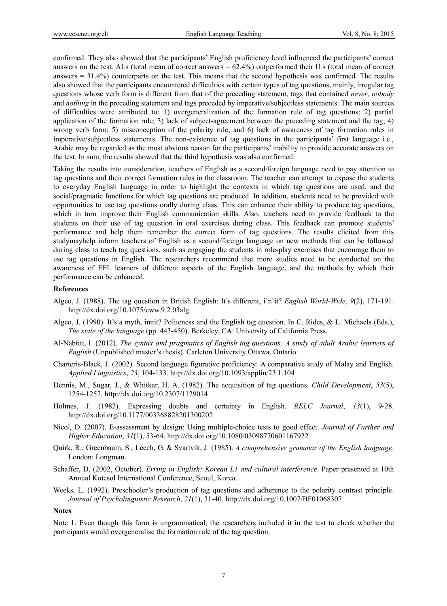confirmed. They also showed that the participants' English proficiency level influenced the participants' correct answers on the test. ALs (total mean of correct answers = 62.4%) outperformed their ILs (total mean of correct answers = 31.4%) counterparts on the test. This means that the second hypothesis was confirmed. The results also showed that the participants encountered difficulties with certain types of tag questions, mainly, irregular tag questions whose verb form is different from that of the preceding statement, tags that contained *never*, *nobody* and *nothing* in the preceding statement and tags preceded by imperative/subjectless statements. The main sources of difficulties were attributed to: 1) overgeneralization of the formation rule of tag questions; 2) partial application of the formation rule; 3) lack of subject-agreement between the preceding statement and the tag; 4) wrong verb form; 5) misconception of the polarity rule; and 6) lack of awareness of tag formation rules in imperative/subjectless statements. The non-existence of tag questions in the participants' first language i.e., Arabic may be regarded as the most obvious reason for the participants' inability to provide accurate answers on the test. In sum, the results showed that the third hypothesis was also confirmed.

Taking the results into consideration, teachers of English as a second/foreign language need to pay attention to tag questions and their correct formation rules in the classroom. The teacher can attempt to expose the students to everyday English language in order to highlight the contexts in which tag questions are used, and the social/pragmatic functions for which tag questions are produced. In addition, students need to be provided with opportunities to use tag questions orally during class. This can enhance their ability to produce tag questions, which in turn improve their English communication skills. Also, teachers need to provide feedback to the students on their use of tag question in oral exercises during class. This feedback can promote students' performance and help them remember the correct form of tag questions. The results elicited from this studymayhelp inform teachers of English as a second/foreign language on new methods that can be followed during class to teach tag questions, such as engaging the students in role-play exercises that encourage them to use tag questions in English. The researchers recommend that more studies need to be conducted on the awareness of EFL learners of different aspects of the English language, and the methods by which their performance can be enhanced.

#### **References**

- Algeo, J. (1988). The tag question in British English: It's different, i'n'it? *English World-Wide*, *9*(2), 171-191. http://dx.doi.org/10.1075/eww.9.2.03alg
- Algeo, J. (1990). It's a myth, innit? Politeness and the English tag question. In C. Rides, & L. Michaels (Eds.), *The state of the language* (pp. 443-450). Berkeley, CA: University of California Press.
- Al-Nabtiti, I. (2012). *The syntax and pragmatics of English tag questions: A study of adult Arabic learners of English* (Unpublished master's thesis). Carleton University Ottawa, Ontario.
- Charteris-Black, J. (2002). Second language figurative proficiency: A comparative study of Malay and English. *Applied Linguistics*, *23*, 104-133. http://dx.doi.org/10.1093/applin/23.1.104
- Dennis, M., Sugar, J., & Whitkar, H. A. (1982). The acquisition of tag questions. *Child Development*, *53*(5), 1254-1257. http://dx.doi.org/10.2307/1129014
- Holmes, J. (1982). Expressing doubts and certainty in English. *RELC Journal*, *13*(1), 9-28. http://dx.doi.org/10.1177/003368828201300202
- Nicol, D. (2007). E-assessment by design: Using multiple-choice tests to good effect. *Journal of Further and Higher Education*, *31*(1), 53-64. http://dx.doi.org/10.1080/03098770601167922
- Quirk, R., Greenbaum, S., Leech, G. & Svartvik, J. (1985). *A comprehensive grammar of the English language*. London: Longman.
- Schaffer, D. (2002, October). *Erring in English: Korean L1 and cultural interference*. Paper presented at 10th Annual Kotesol International Conference, Seoul, Korea.
- Weeks, L. (1992). Preschooler's production of tag questions and adherence to the polarity contrast principle. *Journal of Psycholinguistic Research*, *21*(1), 31-40. http://dx.doi.org/10.1007/BF01068307

#### **Notes**

Note 1. Even though this form is ungrammatical, the researchers included it in the test to check whether the participants would overgeneralise the formation rule of the tag question.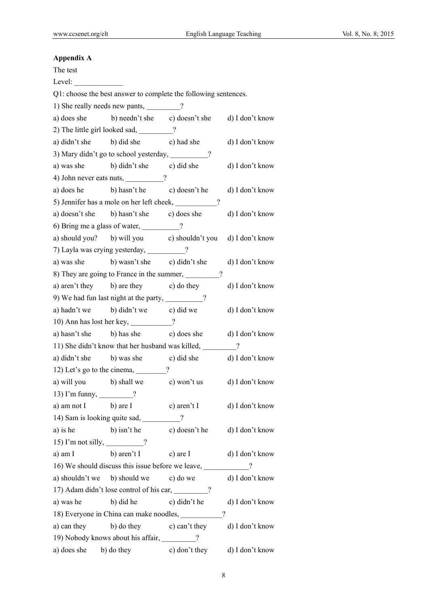# **Appendix A**

| The test                         |                                                                 |               |                 |
|----------------------------------|-----------------------------------------------------------------|---------------|-----------------|
| Level:                           |                                                                 |               |                 |
|                                  | Q1: choose the best answer to complete the following sentences. |               |                 |
|                                  | 1) She really needs new pants, ________?                        |               |                 |
|                                  | a) does she b) needn't she c) doesn't she d) I don't know       |               |                 |
|                                  | 2) The little girl looked sad, _______?                         |               |                 |
|                                  | a) didn't she b) did she c) had she                             |               | d) I don't know |
|                                  | 3) Mary didn't go to school yesterday, _______?                 |               |                 |
|                                  | a) was she b) didn't she c) did she d) I don't know             |               |                 |
|                                  | 4) John never eats nuts, _________?                             |               |                 |
|                                  | a) does he b) hasn't he c) doesn't he d) I don't know           |               |                 |
|                                  | 5) Jennifer has a mole on her left cheek, _________?            |               |                 |
|                                  | a) doesn't she b) hasn't she c) does she                        |               | d) I don't know |
|                                  | 6) Bring me a glass of water, _________?                        |               |                 |
|                                  | a) should you? b) will you c) shouldn't you d) I don't know     |               |                 |
|                                  | 7) Layla was crying yesterday, _________?                       |               |                 |
|                                  | a) was she b) wasn't she c) didn't she                          |               | d) I don't know |
|                                  | 8) They are going to France in the summer, _________?           |               |                 |
|                                  | a) aren't they b) are they c) do they                           |               | d) I don't know |
|                                  | 9) We had fun last night at the party, _________?               |               |                 |
|                                  | a) hadn't we b) didn't we c) did we d) I don't know             |               |                 |
|                                  | 10) Ann has lost her key, ___________?                          |               |                 |
| a) hasn't she                    | b) has she c) does she d) I don't know                          |               |                 |
|                                  | 11) She didn't know that her husband was killed, _________?     |               |                 |
|                                  | a) didn't she b) was she c) did she d) I don't know             |               |                 |
|                                  | 12) Let's go to the cinema, $\frac{?}{?}$                       |               |                 |
|                                  | a) will you b) shall we c) won't us                             |               | d) I don't know |
| 13) I'm funny, _________?        |                                                                 |               |                 |
| a) am not I                      | b) are I                                                        | c) aren't I   | d) I don't know |
|                                  | 14) Sam is looking quite sad, _________?                        |               |                 |
| a) is he                         | b) isn't he                                                     | c) doesn't he | d) I don't know |
| 15) I'm not silly, $\frac{1}{2}$ |                                                                 |               |                 |
| a) am I                          | b) aren't I                                                     | c) are I      | d) I don't know |
|                                  |                                                                 |               | $\gamma$        |
| a) shouldn't we                  | b) should we c) do we                                           |               | d) I don't know |
|                                  | 17) Adam didn't lose control of his car, ________?              |               |                 |
| a) was he                        | b) did he                                                       | c) didn't he  | d) I don't know |
|                                  | 18) Everyone in China can make noodles,                         | $\gamma$      |                 |
| a) can they                      | b) do they c) can't they                                        |               | d) I don't know |
|                                  | 19) Nobody knows about his affair, ________?                    |               |                 |
| a) does she                      | b) do they                                                      | c) don't they | d) I don't know |